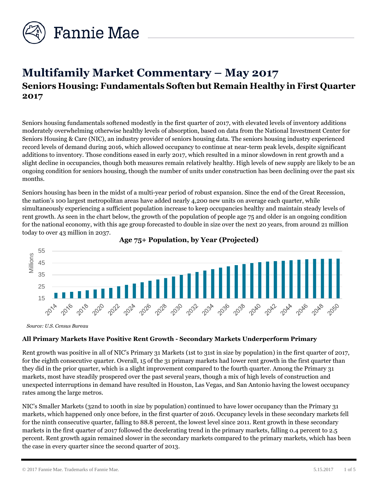

# **Multifamily Market Commentary – May 2017 Seniors Housing: Fundamentals Soften but Remain Healthy in First Quarter 2017**

Seniors housing fundamentals softened modestly in the first quarter of 2017, with elevated levels of inventory additions moderately overwhelming otherwise healthy levels of absorption, based on data from the National Investment Center for Seniors Housing & Care (NIC), an industry provider of seniors housing data. The seniors housing industry experienced record levels of demand during 2016, which allowed occupancy to continue at near-term peak levels, despite significant additions to inventory. Those conditions eased in early 2017, which resulted in a minor slowdown in rent growth and a slight decline in occupancies, though both measures remain relatively healthy. High levels of new supply are likely to be an ongoing condition for seniors housing, though the number of units under construction has been declining over the past six months.

Seniors housing has been in the midst of a multi-year period of robust expansion. Since the end of the Great Recession, the nation's 100 largest metropolitan areas have added nearly 4,200 new units on average each quarter, while simultaneously experiencing a sufficient population increase to keep occupancies healthy and maintain steady levels of rent growth. As seen in the chart below, the growth of the population of people age 75 and older is an ongoing condition for the national economy, with this age group forecasted to double in size over the next 20 years, from around 21 million today to over 43 million in 2037.





*Source: U.S. Census Bureau*

# **All Primary Markets Have Positive Rent Growth - Secondary Markets Underperform Primary**

Rent growth was positive in all of NIC's Primary 31 Markets (1st to 31st in size by population) in the first quarter of 2017, for the eighth consecutive quarter. Overall, 15 of the 31 primary markets had lower rent growth in the first quarter than they did in the prior quarter, which is a slight improvement compared to the fourth quarter. Among the Primary 31 markets, most have steadily prospered over the past several years, though a mix of high levels of construction and unexpected interruptions in demand have resulted in Houston, Las Vegas, and San Antonio having the lowest occupancy rates among the large metros.

NIC's Smaller Markets (32nd to 100th in size by population) continued to have lower occupancy than the Primary 31 markets, which happened only once before, in the first quarter of 2016. Occupancy levels in these secondary markets fell for the ninth consecutive quarter, falling to 88.8 percent, the lowest level since 2011. Rent growth in these secondary markets in the first quarter of 2017 followed the decelerating trend in the primary markets, falling 0.4 percent to 2.5 percent. Rent growth again remained slower in the secondary markets compared to the primary markets, which has been the case in every quarter since the second quarter of 2013.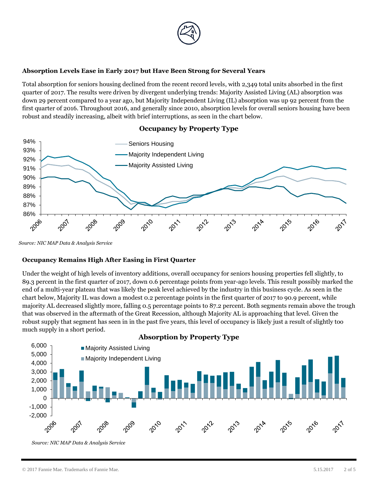

#### **Absorption Levels Ease in Early 2017 but Have Been Strong for Several Years**

Total absorption for seniors housing declined from the recent record levels, with 2,349 total units absorbed in the first quarter of 2017. The results were driven by divergent underlying trends: Majority Assisted Living (AL) absorption was down 29 percent compared to a year ago, but Majority Independent Living (IL) absorption was up 92 percent from the first quarter of 2016. Throughout 2016, and generally since 2010, absorption levels for overall seniors housing have been robust and steadily increasing, albeit with brief interruptions, as seen in the chart below.



# **Occupancy by Property Type**

*Source: NIC MAP Data & Analysis Service*

#### **Occupancy Remains High After Easing in First Quarter**

Under the weight of high levels of inventory additions, overall occupancy for seniors housing properties fell slightly, to 89.3 percent in the first quarter of 2017, down 0.6 percentage points from year-ago levels. This result possibly marked the end of a multi-year plateau that was likely the peak level achieved by the industry in this business cycle. As seen in the chart below, Majority IL was down a modest 0.2 percentage points in the first quarter of 2017 to 90.9 percent, while majority AL decreased slightly more, falling 0.5 percentage points to 87.2 percent. Both segments remain above the trough that was observed in the aftermath of the Great Recession, although Majority AL is approaching that level. Given the robust supply that segment has seen in in the past five years, this level of occupancy is likely just a result of slightly too much supply in a short period.



# **Absorption by Property Type**

© 2017 Fannie Mae. Trademarks of Fannie Mae. 5.15.2017 2 of 5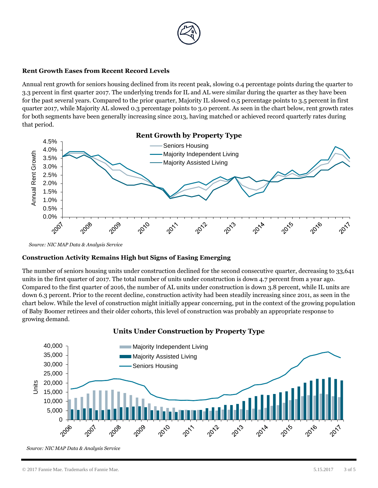

#### **Rent Growth Eases from Recent Record Levels**

Annual rent growth for seniors housing declined from its recent peak, slowing 0.4 percentage points during the quarter to 3.3 percent in first quarter 2017. The underlying trends for IL and AL were similar during the quarter as they have been for the past several years. Compared to the prior quarter, Majority IL slowed 0.5 percentage points to 3.5 percent in first quarter 2017, while Majority AL slowed 0.3 percentage points to 3.0 percent. As seen in the chart below, rent growth rates for both segments have been generally increasing since 2013, having matched or achieved record quarterly rates during that period.



*Source: NIC MAP Data & Analysis Service*

## **Construction Activity Remains High but Signs of Easing Emerging**

The number of seniors housing units under construction declined for the second consecutive quarter, decreasing to 33,641 units in the first quarter of 2017. The total number of units under construction is down 4.7 percent from a year ago. Compared to the first quarter of 2016, the number of AL units under construction is down 3.8 percent, while IL units are down 6.3 percent. Prior to the recent decline, construction activity had been steadily increasing since 2011, as seen in the chart below. While the level of construction might initially appear concerning, put in the context of the growing population of Baby Boomer retirees and their older cohorts, this level of construction was probably an appropriate response to growing demand.



**Units Under Construction by Property Type**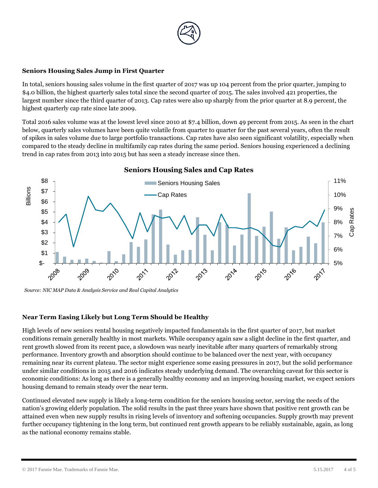

#### **Seniors Housing Sales Jump in First Quarter**

In total, seniors housing sales volume in the first quarter of 2017 was up 104 percent from the prior quarter, jumping to \$4.0 billion, the highest quarterly sales total since the second quarter of 2015. The sales involved 421 properties, the largest number since the third quarter of 2013. Cap rates were also up sharply from the prior quarter at 8.9 percent, the highest quarterly cap rate since late 2009.

Total 2016 sales volume was at the lowest level since 2010 at \$7.4 billion, down 49 percent from 2015. As seen in the chart below, quarterly sales volumes have been quite volatile from quarter to quarter for the past several years, often the result of spikes in sales volume due to large portfolio transactions. Cap rates have also seen significant volatility, especially when compared to the steady decline in multifamily cap rates during the same period. Seniors housing experienced a declining trend in cap rates from 2013 into 2015 but has seen a steady increase since then.



*Source: NIC MAP Data & Analysis Service and Real Capital Analytics*

#### **Near Term Easing Likely but Long Term Should be Healthy**

High levels of new seniors rental housing negatively impacted fundamentals in the first quarter of 2017, but market conditions remain generally healthy in most markets. While occupancy again saw a slight decline in the first quarter, and rent growth slowed from its recent pace, a slowdown was nearly inevitable after many quarters of remarkably strong performance. Inventory growth and absorption should continue to be balanced over the next year, with occupancy remaining near its current plateau. The sector might experience some easing pressures in 2017, but the solid performance under similar conditions in 2015 and 2016 indicates steady underlying demand. The overarching caveat for this sector is economic conditions: As long as there is a generally healthy economy and an improving housing market, we expect seniors housing demand to remain steady over the near term.

Continued elevated new supply is likely a long-term condition for the seniors housing sector, serving the needs of the nation's growing elderly population. The solid results in the past three years have shown that positive rent growth can be attained even when new supply results in rising levels of inventory and softening occupancies. Supply growth may prevent further occupancy tightening in the long term, but continued rent growth appears to be reliably sustainable, again, as long as the national economy remains stable.